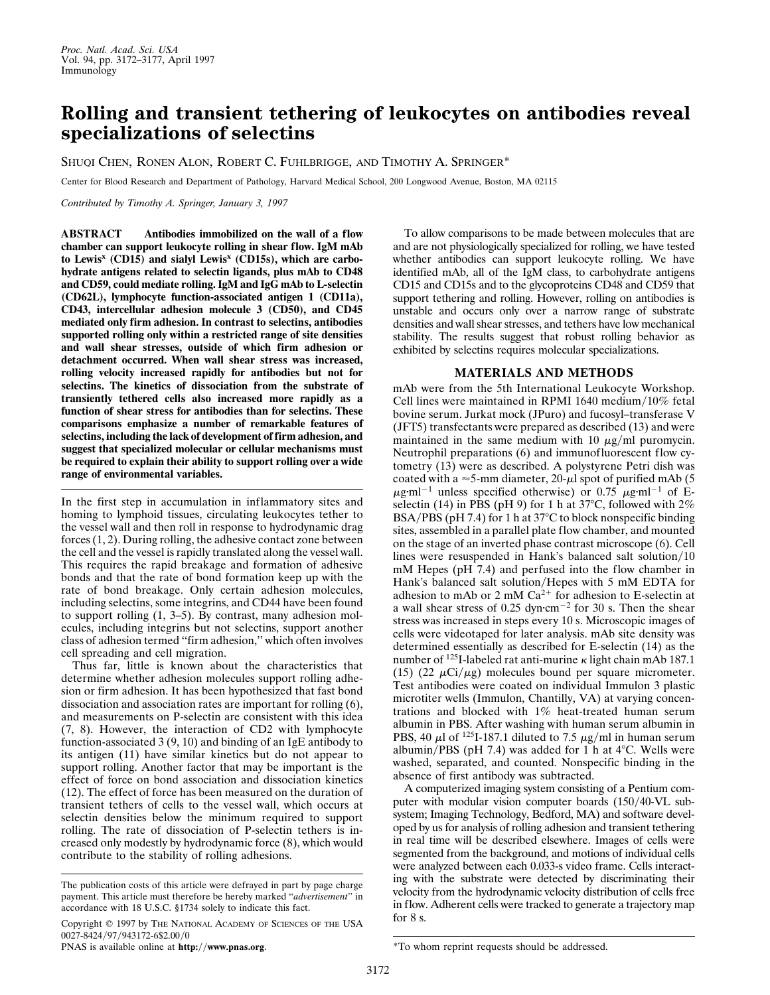## **Rolling and transient tethering of leukocytes on antibodies reveal specializations of selectins**

SHUQI CHEN, RONEN ALON, ROBERT C. FUHLBRIGGE, AND TIMOTHY A. SPRINGER\*

Center for Blood Research and Department of Pathology, Harvard Medical School, 200 Longwood Avenue, Boston, MA 02115

*Contributed by Timothy A. Springer, January 3, 1997*

**ABSTRACT Antibodies immobilized on the wall of a flow chamber can support leukocyte rolling in shear flow. IgM mAb to Lewisx (CD15) and sialyl Lewisx (CD15s), which are carbohydrate antigens related to selectin ligands, plus mAb to CD48 and CD59, could mediate rolling. IgM and IgG mAb to L-selectin (CD62L), lymphocyte function-associated antigen 1 (CD11a), CD43, intercellular adhesion molecule 3 (CD50), and CD45 mediated only firm adhesion. In contrast to selectins, antibodies supported rolling only within a restricted range of site densities and wall shear stresses, outside of which firm adhesion or detachment occurred. When wall shear stress was increased, rolling velocity increased rapidly for antibodies but not for selectins. The kinetics of dissociation from the substrate of transiently tethered cells also increased more rapidly as a function of shear stress for antibodies than for selectins. These comparisons emphasize a number of remarkable features of selectins, including the lack of development of firm adhesion, and suggest that specialized molecular or cellular mechanisms must be required to explain their ability to support rolling over a wide range of environmental variables.**

In the first step in accumulation in inflammatory sites and homing to lymphoid tissues, circulating leukocytes tether to the vessel wall and then roll in response to hydrodynamic drag forces (1, 2). During rolling, the adhesive contact zone between the cell and the vessel is rapidly translated along the vessel wall. This requires the rapid breakage and formation of adhesive bonds and that the rate of bond formation keep up with the rate of bond breakage. Only certain adhesion molecules, including selectins, some integrins, and CD44 have been found to support rolling (1, 3–5). By contrast, many adhesion molecules, including integrins but not selectins, support another class of adhesion termed ''firm adhesion,'' which often involves cell spreading and cell migration.

Thus far, little is known about the characteristics that determine whether adhesion molecules support rolling adhesion or firm adhesion. It has been hypothesized that fast bond dissociation and association rates are important for rolling (6), and measurements on P-selectin are consistent with this idea (7, 8). However, the interaction of CD2 with lymphocyte function-associated 3 (9, 10) and binding of an IgE antibody to its antigen (11) have similar kinetics but do not appear to support rolling. Another factor that may be important is the effect of force on bond association and dissociation kinetics (12). The effect of force has been measured on the duration of transient tethers of cells to the vessel wall, which occurs at selectin densities below the minimum required to support rolling. The rate of dissociation of P-selectin tethers is increased only modestly by hydrodynamic force (8), which would contribute to the stability of rolling adhesions.

To allow comparisons to be made between molecules that are and are not physiologically specialized for rolling, we have tested whether antibodies can support leukocyte rolling. We have identified mAb, all of the IgM class, to carbohydrate antigens CD15 and CD15s and to the glycoproteins CD48 and CD59 that support tethering and rolling. However, rolling on antibodies is unstable and occurs only over a narrow range of substrate densities and wall shear stresses, and tethers have low mechanical stability. The results suggest that robust rolling behavior as exhibited by selectins requires molecular specializations.

## **MATERIALS AND METHODS**

mAb were from the 5th International Leukocyte Workshop. Cell lines were maintained in RPMI 1640 medium/10% fetal bovine serum. Jurkat mock (JPuro) and fucosyl–transferase V (JFT5) transfectants were prepared as described (13) and were maintained in the same medium with 10  $\mu$ g/ml puromycin. Neutrophil preparations (6) and immunofluorescent flow cytometry (13) were as described. A polystyrene Petri dish was coated with a  $\approx$  5-mm diameter, 20- $\mu$ l spot of purified mAb (5)  $\mu$ g·ml<sup>-1</sup> unless specified otherwise) or 0.75  $\mu$ g·ml<sup>-1</sup> of Eselectin (14) in PBS (pH 9) for 1 h at 37°C, followed with  $2\%$ BSA/PBS (pH 7.4) for 1 h at  $37^{\circ}$ C to block nonspecific binding sites, assembled in a parallel plate flow chamber, and mounted on the stage of an inverted phase contrast microscope (6). Cell lines were resuspended in Hank's balanced salt solution/10 mM Hepes (pH 7.4) and perfused into the flow chamber in Hank's balanced salt solution/Hepes with 5 mM EDTA for adhesion to mAb or 2 mM  $Ca<sup>2+</sup>$  for adhesion to E-selectin at a wall shear stress of 0.25 dyn·cm<sup>-2</sup> for 30 s. Then the shear stress was increased in steps every 10 s. Microscopic images of cells were videotaped for later analysis. mAb site density was determined essentially as described for E-selectin (14) as the number of <sup>125</sup>I-labeled rat anti-murine  $\kappa$  light chain mAb 187.1 (15) (22  $\mu$ Ci/ $\mu$ g) molecules bound per square micrometer. Test antibodies were coated on individual Immulon 3 plastic microtiter wells (Immulon, Chantilly, VA) at varying concentrations and blocked with 1% heat-treated human serum albumin in PBS. After washing with human serum albumin in PBS, 40  $\mu$ l of <sup>125</sup>I-187.1 diluted to 7.5  $\mu$ g/ml in human serum albumin/PBS (pH 7.4) was added for 1 h at  $4^{\circ}$ C. Wells were washed, separated, and counted. Nonspecific binding in the absence of first antibody was subtracted.

A computerized imaging system consisting of a Pentium computer with modular vision computer boards  $(150/40$ -VL subsystem; Imaging Technology, Bedford, MA) and software developed by us for analysis of rolling adhesion and transient tethering in real time will be described elsewhere. Images of cells were segmented from the background, and motions of individual cells were analyzed between each 0.033-s video frame. Cells interacting with the substrate were detected by discriminating their velocity from the hydrodynamic velocity distribution of cells free in flow. Adherent cells were tracked to generate a trajectory map for 8 s.

The publication costs of this article were defrayed in part by page charge payment. This article must therefore be hereby marked ''*advertisement*'' in accordance with 18 U.S.C. §1734 solely to indicate this fact.

Copyright  $@$  1997 by The NATIONAL ACADEMY OF SCIENCES OF THE USA 0027-8424/97/943172-6\$2.00/0

PNAS is available online at **http:**yy**www.pnas.org**. \*To whom reprint requests should be addressed.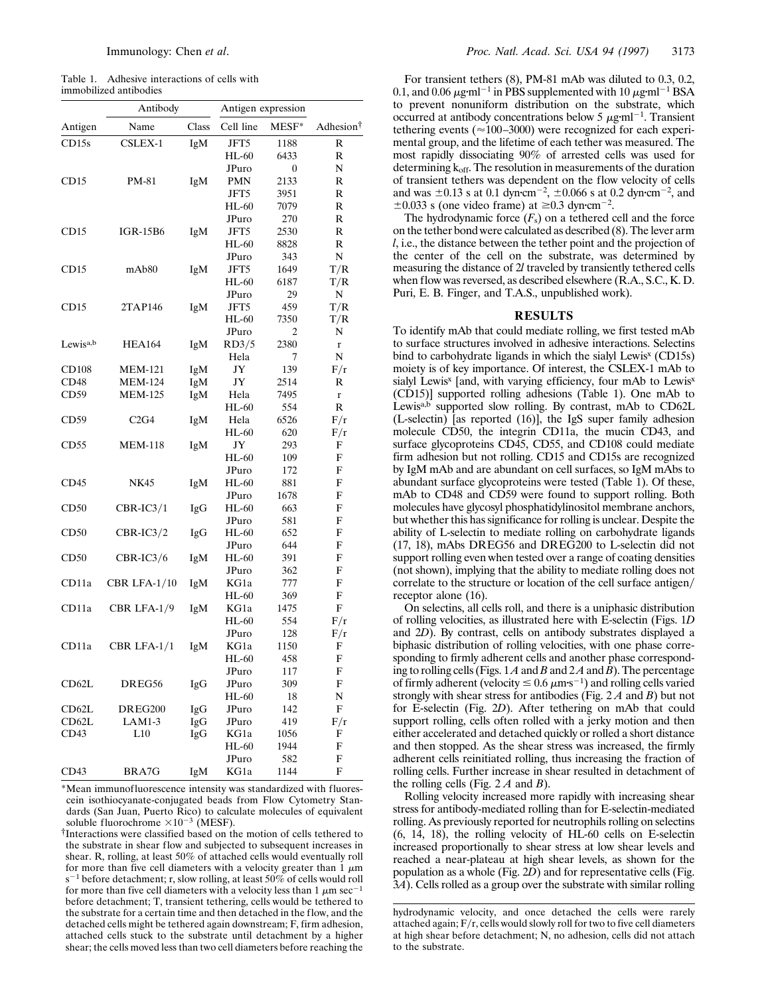Table 1. Adhesive interactions of cells with immobilized antibodies

|                      | Antibody          |       | Antigen expression |                  |                       |
|----------------------|-------------------|-------|--------------------|------------------|-----------------------|
| Antigen              | Name              | Class | Cell line          | MESF*            | Adhesion <sup>†</sup> |
| CD15s                | CSLEX-1           | IgM   | JFT5               | 1188             | R                     |
|                      |                   |       | <b>HL-60</b>       | 6433             | R                     |
|                      |                   |       | JPuro              | $\boldsymbol{0}$ | N                     |
| CD15                 | PM-81             | IgM   | <b>PMN</b>         | 2133             | R                     |
|                      |                   |       | JFT5               | 3951             | R                     |
|                      |                   |       | <b>HL-60</b>       | 7079             | R                     |
|                      |                   |       | JPuro              | 270              | R                     |
| CD15                 | IGR-15B6          | IgM   | JFT5               | 2530             | R                     |
|                      |                   |       | $HL-60$            | 8828             | R                     |
|                      |                   |       | JPuro              | 343              | N                     |
| CD15                 | mAb <sub>80</sub> | IgM   | JFT5               | 1649             | T/R                   |
|                      |                   |       | <b>HL-60</b>       | 6187             | T/R                   |
|                      |                   |       | JPuro              | 29               | N                     |
| CD15                 | 2TAP146           | IgM   | JFT5               | 459              | T/R                   |
|                      |                   |       | <b>HL-60</b>       | 7350             | T/R                   |
|                      |                   |       | JPuro              | 2                | N                     |
| Lewis <sup>a,b</sup> | <b>HEA164</b>     | IgM   | RD3/5              | 2380             | r                     |
|                      |                   |       | Hela               | 7                | N                     |
| CD108                | <b>MEM-121</b>    | IgM   | JY                 | 139              | F/r                   |
| CD48                 | <b>MEM-124</b>    | IgM   | JY                 | 2514             | R                     |
| CD59                 | <b>MEM-125</b>    | IgM   | Hela               | 7495             | $\bf r$               |
|                      |                   |       | $HL-60$            | 554              | R                     |
| CD59                 | C2G4              | IgM   | Hela               | 6526             | F/r                   |
|                      |                   |       | <b>HL-60</b>       | 620              | F/r                   |
| CD55                 | <b>MEM-118</b>    | IgM   | JY                 | 293              | F                     |
|                      |                   |       | $HL-60$            | 109              | F                     |
|                      |                   |       | JPuro              | 172              | F                     |
| CD45                 | <b>NK45</b>       | IgM   | <b>HL-60</b>       | 881              | F                     |
|                      |                   |       | JPuro              | 1678             | F                     |
| CD50                 | $CBR-IC3/1$       | IgG   | <b>HL-60</b>       | 663              | F                     |
|                      |                   |       | JPuro              | 581              | F                     |
| CD50                 | CBR-IC3/2         | IgG   | $HL-60$            | 652              | F                     |
|                      |                   |       | JPuro              | 644              | F                     |
| CD50                 | $CBR-IC3/6$       | IgM   | <b>HL-60</b>       | 391              | F                     |
|                      |                   |       | JPuro              | 362              | F                     |
| CD11a                | CBR LFA- $1/10$   | IgM   | KG1a               | 777              | F                     |
|                      |                   |       | <b>HL-60</b>       | 369              | F                     |
| CD11a                | CBR LFA- $1/9$    | IgM   | KG1a               | 1475             | F                     |
|                      |                   |       | $HL-60$            | 554              | F/r                   |
|                      |                   |       | JPuro              | 128              | F/r                   |
| CD11a                | CBR LFA- $1/1$    | IgM   | KG1a               | 1150             | F                     |
|                      |                   |       | <b>HL-60</b>       | 458              | F                     |
|                      |                   |       | JPuro              | 117              | F                     |
| CD62L                | DREG56            | IgG   | JPuro              | 309              | F                     |
|                      |                   |       | $HL-60$            | 18               | N                     |
| CD62L                | DREG200           | IgG   | JPuro              | 142              | F                     |
| CD62L                | $LAM1-3$          | IgG   | JPuro              | 419              | F/r                   |
| CD43                 | L10               | IgG   | KG1a               | 1056             | F                     |
|                      |                   |       | $HL-60$            | 1944             | F                     |
|                      |                   |       | JPuro              | 582              | F                     |
| CD43                 | BRA7G             | IgM   | KG1a               | 1144             | F                     |

\*Mean immunofluorescence intensity was standardized with fluorescein isothiocyanate-conjugated beads from Flow Cytometry Standards (San Juan, Puerto Rico) to calculate molecules of equivalent soluble fluorochrome  $\times 10^{-3}$  (MESF).

For transient tethers (8), PM-81 mAb was diluted to 0.3, 0.2, 0.1, and 0.06  $\mu$ g·ml<sup>-1</sup> in PBS supplemented with 10  $\mu$ g·ml<sup>-1</sup> BSA to prevent nonuniform distribution on the substrate, which occurred at antibody concentrations below 5  $\mu$ g·ml<sup>-1</sup>. Transient tethering events ( $\approx$ 100–3000) were recognized for each experimental group, and the lifetime of each tether was measured. The most rapidly dissociating 90% of arrested cells was used for determining  $k_{\text{off}}$ . The resolution in measurements of the duration of transient tethers was dependent on the flow velocity of cells and was  $\pm 0.13$  s at 0.1 dyn·cm<sup>-2</sup>,  $\pm 0.066$  s at 0.2 dyn·cm<sup>-2</sup>, and  $\pm 0.033$  s (one video frame) at  $\geq 0.3$  dyn·cm<sup>-2</sup>.

The hydrodynamic force  $(F_s)$  on a tethered cell and the force on the tether bond were calculated as described (8). The lever arm *l*, i.e., the distance between the tether point and the projection of the center of the cell on the substrate, was determined by measuring the distance of 2*l* traveled by transiently tethered cells when flow was reversed, as described elsewhere (R.A., S.C., K. D. Puri, E. B. Finger, and T.A.S., unpublished work).

## **RESULTS**

To identify mAb that could mediate rolling, we first tested mAb to surface structures involved in adhesive interactions. Selectins bind to carbohydrate ligands in which the sialyl Lewis<sup>x</sup> (CD15s) moiety is of key importance. Of interest, the CSLEX-1 mAb to sialyl Lewis<sup>x</sup> [and, with varying efficiency, four mAb to Lewis<sup>x</sup> (CD15)] supported rolling adhesions (Table 1). One mAb to Lewis<sup>a,b</sup> supported slow rolling. By contrast, mAb to CD62L (L-selectin) [as reported (16)], the IgS super family adhesion molecule CD50, the integrin CD11a, the mucin CD43, and surface glycoproteins CD45, CD55, and CD108 could mediate firm adhesion but not rolling. CD15 and CD15s are recognized by IgM mAb and are abundant on cell surfaces, so IgM mAbs to abundant surface glycoproteins were tested (Table 1). Of these, mAb to CD48 and CD59 were found to support rolling. Both molecules have glycosyl phosphatidylinositol membrane anchors, but whether this has significance for rolling is unclear. Despite the ability of L-selectin to mediate rolling on carbohydrate ligands (17, 18), mAbs DREG56 and DREG200 to L-selectin did not support rolling even when tested over a range of coating densities (not shown), implying that the ability to mediate rolling does not correlate to the structure or location of the cell surface antigen/ receptor alone (16).

On selectins, all cells roll, and there is a uniphasic distribution of rolling velocities, as illustrated here with E-selectin (Figs. 1*D* and 2*D*). By contrast, cells on antibody substrates displayed a biphasic distribution of rolling velocities, with one phase corresponding to firmly adherent cells and another phase corresponding to rolling cells (Figs. 1*A*and *B* and 2*A*and *B*). The percentage of firmly adherent (velocity  $\leq 0.6 \ \mu m s^{-1}$ ) and rolling cells varied strongly with shear stress for antibodies (Fig. 2 *A* and *B*) but not for E-selectin (Fig. 2*D*). After tethering on mAb that could support rolling, cells often rolled with a jerky motion and then either accelerated and detached quickly or rolled a short distance and then stopped. As the shear stress was increased, the firmly adherent cells reinitiated rolling, thus increasing the fraction of rolling cells. Further increase in shear resulted in detachment of the rolling cells (Fig. 2 *A* and *B*).

Rolling velocity increased more rapidly with increasing shear stress for antibody-mediated rolling than for E-selectin-mediated rolling. As previously reported for neutrophils rolling on selectins (6, 14, 18), the rolling velocity of HL-60 cells on E-selectin increased proportionally to shear stress at low shear levels and reached a near-plateau at high shear levels, as shown for the population as a whole (Fig. 2*D*) and for representative cells (Fig. 3*A*). Cells rolled as a group over the substrate with similar rolling

<sup>†</sup>Interactions were classified based on the motion of cells tethered to the substrate in shear flow and subjected to subsequent increases in shear. R, rolling, at least 50% of attached cells would eventually roll for more than five cell diameters with a velocity greater than  $1 \mu m$  $s^{-1}$  before detachment; r, slow rolling, at least 50% of cells would roll for more than five cell diameters with a velocity less than  $1 \mu m$  sec<sup>-1</sup> before detachment; T, transient tethering, cells would be tethered to the substrate for a certain time and then detached in the flow, and the detached cells might be tethered again downstream; F, firm adhesion, attached cells stuck to the substrate until detachment by a higher shear; the cells moved less than two cell diameters before reaching the

hydrodynamic velocity, and once detached the cells were rarely attached again;  $F/r$ , cells would slowly roll for two to five cell diameters at high shear before detachment; N, no adhesion, cells did not attach to the substrate.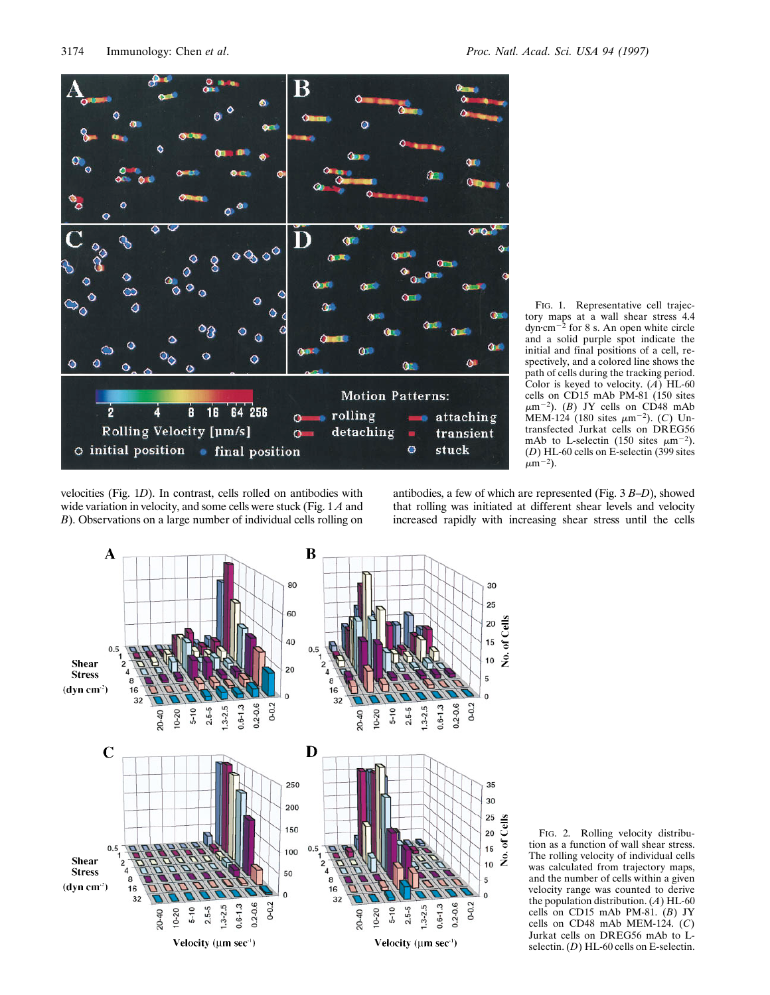

FIG. 1. Representative cell trajectory maps at a wall shear stress 4.4  $dyn$ cm<sup>-2</sup> for 8 s. An open white circle and a solid purple spot indicate the initial and final positions of a cell, respectively, and a colored line shows the path of cells during the tracking period. Color is keyed to velocity. (*A*) HL-60 cells on CD15 mAb PM-81 (150 sites  $\mu$ m<sup>-2</sup>). (*B*) JY cells on CD48 mAb MEM-124 (180 sites  $\mu$ m<sup>-2</sup>). (*C*) Untransfected Jurkat cells on DREG56 mAb to L-selectin (150 sites  $\mu$ m<sup>-2</sup>). (*D*) HL-60 cells on E-selectin (399 sites  $\mu$ m<sup>-2</sup>).

velocities (Fig. 1*D*). In contrast, cells rolled on antibodies with wide variation in velocity, and some cells were stuck (Fig. 1 *A* and *B*). Observations on a large number of individual cells rolling on antibodies, a few of which are represented (Fig. 3 *B*–*D*), showed that rolling was initiated at different shear levels and velocity increased rapidly with increasing shear stress until the cells



FIG. 2. Rolling velocity distribution as a function of wall shear stress. The rolling velocity of individual cells was calculated from trajectory maps, and the number of cells within a given velocity range was counted to derive the population distribution. (*A*) HL-60 cells on CD15 mAb PM-81. (*B*) JY cells on CD48 mAb MEM-124. (*C*) Jurkat cells on DREG56 mAb to Lselectin. (*D*) HL-60 cells on E-selectin.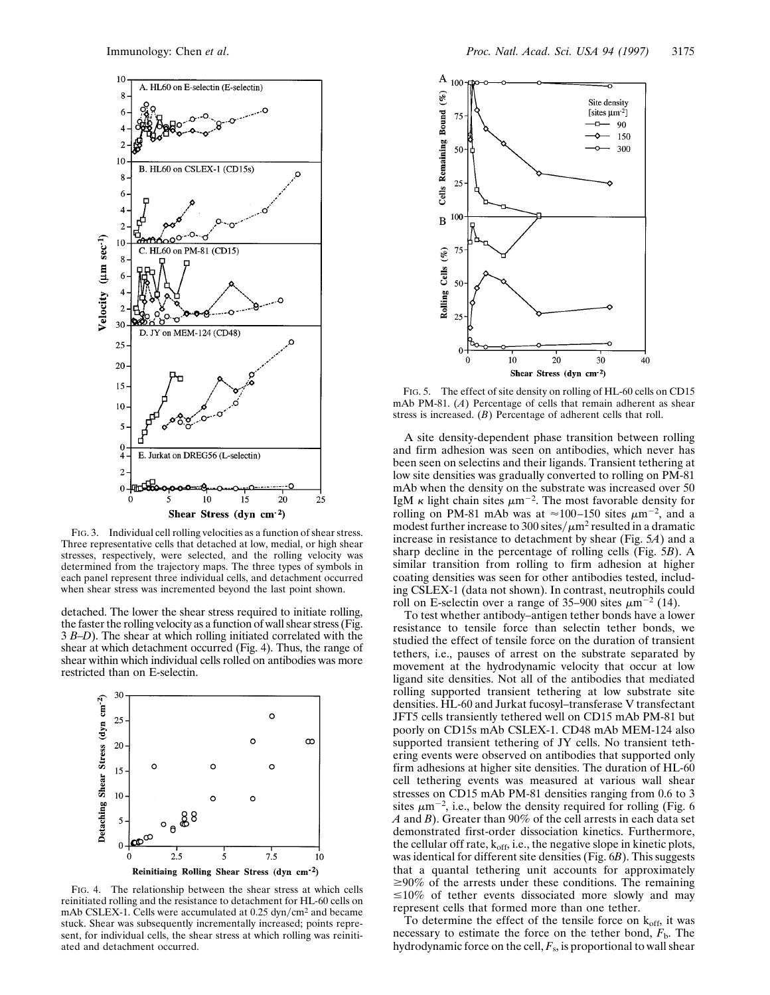

FIG. 3. Individual cell rolling velocities as a function of shear stress. Three representative cells that detached at low, medial, or high shear stresses, respectively, were selected, and the rolling velocity was determined from the trajectory maps. The three types of symbols in each panel represent three individual cells, and detachment occurred when shear stress was incremented beyond the last point shown.

detached. The lower the shear stress required to initiate rolling, the faster the rolling velocity as a function of wall shear stress (Fig. 3 *B*–*D*). The shear at which rolling initiated correlated with the shear at which detachment occurred (Fig. 4). Thus, the range of shear within which individual cells rolled on antibodies was more restricted than on E-selectin.

![](_page_3_Figure_4.jpeg)

FIG. 4. The relationship between the shear stress at which cells reinitiated rolling and the resistance to detachment for HL-60 cells on mAb CSLEX-1. Cells were accumulated at  $0.25 \text{ dyn/cm}^2$  and became stuck. Shear was subsequently incrementally increased; points represent, for individual cells, the shear stress at which rolling was reinitiated and detachment occurred.

![](_page_3_Figure_7.jpeg)

FIG. 5. The effect of site density on rolling of HL-60 cells on CD15 mAb PM-81. (*A*) Percentage of cells that remain adherent as shear stress is increased. (*B*) Percentage of adherent cells that roll.

A site density-dependent phase transition between rolling and firm adhesion was seen on antibodies, which never has been seen on selectins and their ligands. Transient tethering at low site densities was gradually converted to rolling on PM-81 mAb when the density on the substrate was increased over 50 IgM  $\kappa$  light chain sites  $\mu$ m<sup>-2</sup>. The most favorable density for rolling on PM-81 mAb was at  $\approx$ 100–150 sites  $\mu$ m<sup>-2</sup>, and a modest further increase to 300 sites/ $\mu$ m<sup>2</sup> resulted in a dramatic increase in resistance to detachment by shear (Fig. 5*A*) and a sharp decline in the percentage of rolling cells (Fig. 5*B*). A similar transition from rolling to firm adhesion at higher coating densities was seen for other antibodies tested, including CSLEX-1 (data not shown). In contrast, neutrophils could roll on E-selectin over a range of 35–900 sites  $\mu$ m<sup>-2</sup> (14).

To test whether antibody–antigen tether bonds have a lower resistance to tensile force than selectin tether bonds, we studied the effect of tensile force on the duration of transient tethers, i.e., pauses of arrest on the substrate separated by movement at the hydrodynamic velocity that occur at low ligand site densities. Not all of the antibodies that mediated rolling supported transient tethering at low substrate site densities. HL-60 and Jurkat fucosyl–transferase V transfectant JFT5 cells transiently tethered well on CD15 mAb PM-81 but poorly on CD15s mAb CSLEX-1. CD48 mAb MEM-124 also supported transient tethering of JY cells. No transient tethering events were observed on antibodies that supported only firm adhesions at higher site densities. The duration of HL-60 cell tethering events was measured at various wall shear stresses on CD15 mAb PM-81 densities ranging from 0.6 to 3 sites  $\mu$ m<sup>-2</sup>, i.e., below the density required for rolling (Fig. 6) *A* and *B*). Greater than 90% of the cell arrests in each data set demonstrated first-order dissociation kinetics. Furthermore, the cellular off rate,  $k_{off}$ , i.e., the negative slope in kinetic plots, was identical for different site densities (Fig. 6*B*). This suggests that a quantal tethering unit accounts for approximately  $\geq 90\%$  of the arrests under these conditions. The remaining  $\leq 10\%$  of tether events dissociated more slowly and may represent cells that formed more than one tether.

To determine the effect of the tensile force on  $k_{off}$ , it was necessary to estimate the force on the tether bond,  $F<sub>b</sub>$ . The hydrodynamic force on the cell,  $F_s$ , is proportional to wall shear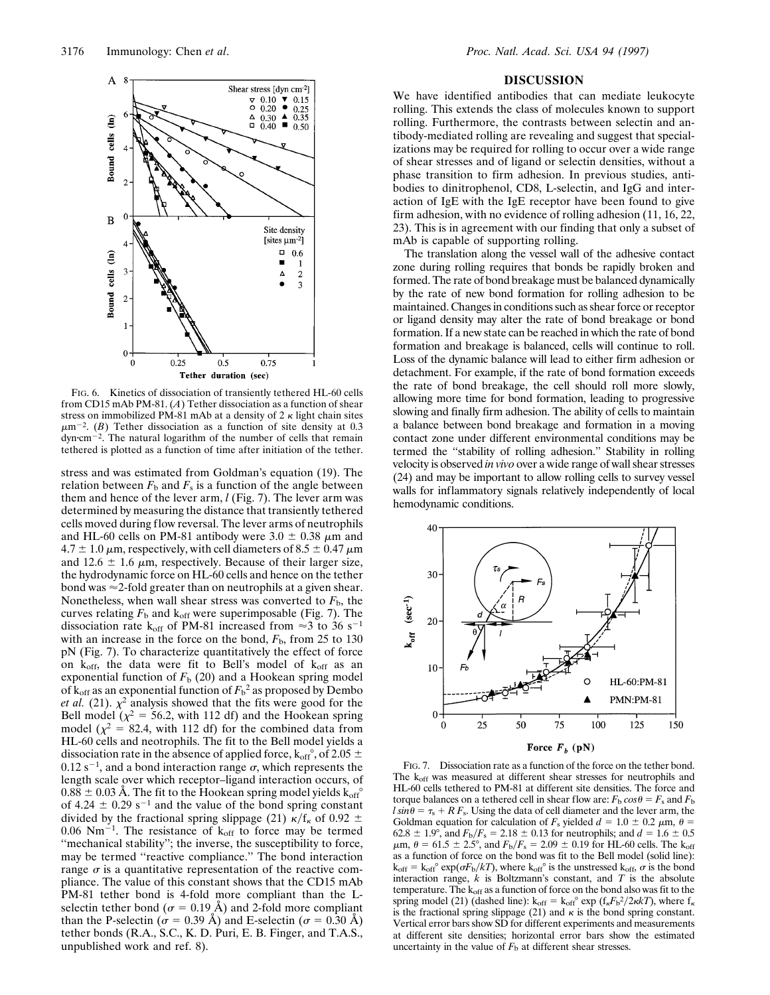![](_page_4_Figure_1.jpeg)

FIG. 6. Kinetics of dissociation of transiently tethered HL-60 cells from CD15 mAb PM-81. (*A*) Tether dissociation as a function of shear stress on immobilized PM-81 mAb at a density of  $2 \kappa$  light chain sites  $\mu$ m<sup>-2</sup>. (*B*) Tether dissociation as a function of site density at 0.3  $dyn cm<sup>-2</sup>$ . The natural logarithm of the number of cells that remain tethered is plotted as a function of time after initiation of the tether.

stress and was estimated from Goldman's equation (19). The relation between  $F_b$  and  $F_s$  is a function of the angle between them and hence of the lever arm, *l* (Fig. 7). The lever arm was determined by measuring the distance that transiently tethered cells moved during flow reversal. The lever arms of neutrophils and HL-60 cells on PM-81 antibody were  $3.0 \pm 0.38$   $\mu$ m and  $4.7 \pm 1.0 \,\mu$ m, respectively, with cell diameters of  $8.5 \pm 0.47 \,\mu$ m and 12.6  $\pm$  1.6  $\mu$ m, respectively. Because of their larger size, the hydrodynamic force on HL-60 cells and hence on the tether bond was  $\approx$  2-fold greater than on neutrophils at a given shear. Nonetheless, when wall shear stress was converted to  $F<sub>b</sub>$ , the curves relating  $F<sub>b</sub>$  and  $k<sub>off</sub>$  were superimposable (Fig. 7). The dissociation rate k<sub>off</sub> of PM-81 increased from  $\approx$ 3 to 36 s<sup>-1</sup> with an increase in the force on the bond,  $F<sub>b</sub>$ , from 25 to 130 pN (Fig. 7). To characterize quantitatively the effect of force on  $k_{off}$ , the data were fit to Bell's model of  $k_{off}$  as an exponential function of  $F_b$  (20) and a Hookean spring model of  $k_{off}$  as an exponential function of  $F_b^2$  as proposed by Dembo *et al.* (21).  $\chi^2$  analysis showed that the fits were good for the Bell model ( $\chi^2$  = 56.2, with 112 df) and the Hookean spring model ( $\chi^2$  = 82.4, with 112 df) for the combined data from HL-60 cells and neotrophils. The fit to the Bell model yields a dissociation rate in the absence of applied force,  $k_{off}^{\circ}$ , of 2.05  $\pm$  $0.12$  s<sup>-1</sup>, and a bond interaction range  $\sigma$ , which represents the length scale over which receptor–ligand interaction occurs, of  $0.88 \pm 0.03$  Å. The fit to the Hookean spring model yields  $k_{off}^{\circ}$ of 4.24  $\pm$  0.29 s<sup>-1</sup> and the value of the bond spring constant divided by the fractional spring slippage (21)  $\kappa/f_{\kappa}$  of 0.92  $\pm$  $0.06$  Nm<sup>-1</sup>. The resistance of  $k_{off}$  to force may be termed "mechanical stability"; the inverse, the susceptibility to force, may be termed ''reactive compliance.'' The bond interaction range  $\sigma$  is a quantitative representation of the reactive compliance. The value of this constant shows that the CD15 mAb PM-81 tether bond is 4-fold more compliant than the Lselectin tether bond ( $\sigma$  = 0.19 Å) and 2-fold more compliant than the P-selectin ( $\sigma = 0.39$  Å) and E-selectin ( $\sigma = 0.30$  Å) tether bonds (R.A., S.C., K. D. Puri, E. B. Finger, and T.A.S., unpublished work and ref. 8).

## **DISCUSSION**

We have identified antibodies that can mediate leukocyte rolling. This extends the class of molecules known to support rolling. Furthermore, the contrasts between selectin and antibody-mediated rolling are revealing and suggest that specializations may be required for rolling to occur over a wide range of shear stresses and of ligand or selectin densities, without a phase transition to firm adhesion. In previous studies, antibodies to dinitrophenol, CD8, L-selectin, and IgG and interaction of IgE with the IgE receptor have been found to give firm adhesion, with no evidence of rolling adhesion (11, 16, 22, 23). This is in agreement with our finding that only a subset of mAb is capable of supporting rolling.

The translation along the vessel wall of the adhesive contact zone during rolling requires that bonds be rapidly broken and formed. The rate of bond breakage must be balanced dynamically by the rate of new bond formation for rolling adhesion to be maintained. Changes in conditions such as shear force or receptor or ligand density may alter the rate of bond breakage or bond formation. If a new state can be reached in which the rate of bond formation and breakage is balanced, cells will continue to roll. Loss of the dynamic balance will lead to either firm adhesion or detachment. For example, if the rate of bond formation exceeds the rate of bond breakage, the cell should roll more slowly, allowing more time for bond formation, leading to progressive slowing and finally firm adhesion. The ability of cells to maintain a balance between bond breakage and formation in a moving contact zone under different environmental conditions may be termed the ''stability of rolling adhesion.'' Stability in rolling velocity is observed *in vivo* over a wide range of wall shear stresses (24) and may be important to allow rolling cells to survey vessel walls for inflammatory signals relatively independently of local hemodynamic conditions.

![](_page_4_Figure_8.jpeg)

FIG. 7. Dissociation rate as a function of the force on the tether bond. The k<sub>off</sub> was measured at different shear stresses for neutrophils and HL-60 cells tethered to PM-81 at different site densities. The force and torque balances on a tethered cell in shear flow are:  $F_b \cos \theta = F_s$  and  $F_b$  $l \sin \theta = \tau_s + R F_s$ . Using the data of cell diameter and the lever arm, the Goldman equation for calculation of  $F_s$  yielded  $d = 1.0 \pm 0.2 \mu m$ ,  $\theta =$ 62.8  $\pm$  1.9°, and  $F_{\rm b}/F_{\rm s}$  = 2.18  $\pm$  0.13 for neutrophils; and *d* = 1.6  $\pm$  0.5  $\mu$ m,  $\theta$  = 61.5  $\pm$  2.5°, and  $F_{\rm b}/F_{\rm s}$  = 2.09  $\pm$  0.19 for HL-60 cells. The k<sub>off</sub> as a function of force on the bond was fit to the Bell model (solid line):  $k_{off} = k_{off}^{\circ} exp(\sigma F_b/kT)$ , where  $k_{off}^{\circ}$  is the unstressed  $k_{off}$ ,  $\sigma$  is the bond interaction range,  $k$  is Boltzmann's constant, and  $T$  is the absolute temperature. The  $k_{off}$  as a function of force on the bond also was fit to the spring model (21) (dashed line):  $k_{off} = k_{off}^{\circ} \exp(f_k F_b^2 / 2 \kappa kT)$ , where  $f_k$ is the fractional spring slippage  $(21)$  and  $\kappa$  is the bond spring constant. Vertical error bars show SD for different experiments and measurements at different site densities; horizontal error bars show the estimated uncertainty in the value of  $F<sub>b</sub>$  at different shear stresses.